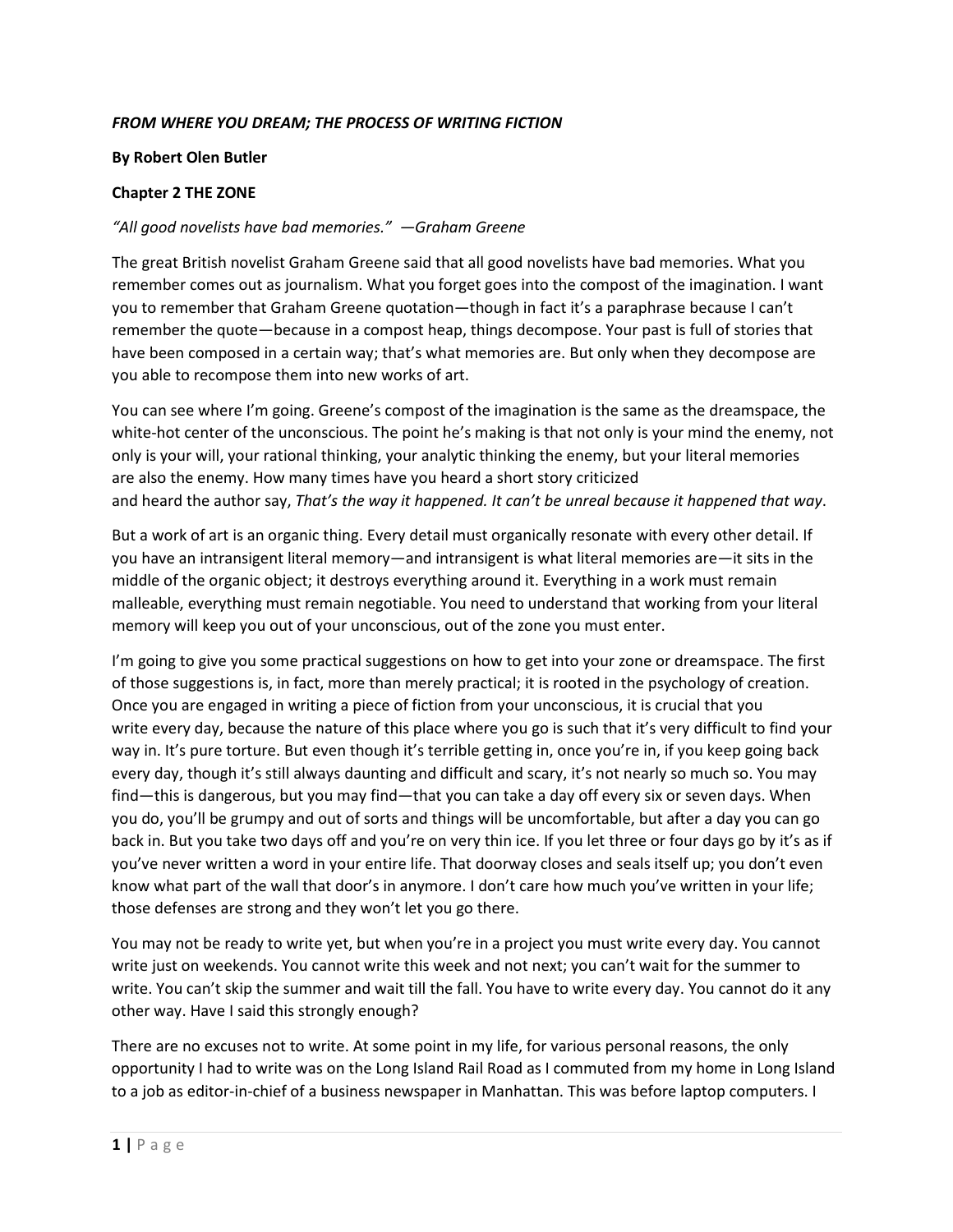## *FROM WHERE YOU DREAM; THE PROCESS OF WRITING FICTION*

## **By Robert Olen Butler**

## **Chapter 2 THE ZONE**

## *"All good novelists have bad memories." —Graham Greene*

The great British novelist Graham Greene said that all good novelists have bad memories. What you remember comes out as journalism. What you forget goes into the compost of the imagination. I want you to remember that Graham Greene quotation—though in fact it's a paraphrase because I can't remember the quote—because in a compost heap, things decompose. Your past is full of stories that have been composed in a certain way; that's what memories are. But only when they decompose are you able to recompose them into new works of art.

You can see where I'm going. Greene's compost of the imagination is the same as the dreamspace, the white-hot center of the unconscious. The point he's making is that not only is your mind the enemy, not only is your will, your rational thinking, your analytic thinking the enemy, but your literal memories are also the enemy. How many times have you heard a short story criticized and heard the author say, *That's the way it happened. It can't be unreal because it happened that way*.

But a work of art is an organic thing. Every detail must organically resonate with every other detail. If you have an intransigent literal memory—and intransigent is what literal memories are—it sits in the middle of the organic object; it destroys everything around it. Everything in a work must remain malleable, everything must remain negotiable. You need to understand that working from your literal memory will keep you out of your unconscious, out of the zone you must enter.

I'm going to give you some practical suggestions on how to get into your zone or dreamspace. The first of those suggestions is, in fact, more than merely practical; it is rooted in the psychology of creation. Once you are engaged in writing a piece of fiction from your unconscious, it is crucial that you write every day, because the nature of this place where you go is such that it's very difficult to find your way in. It's pure torture. But even though it's terrible getting in, once you're in, if you keep going back every day, though it's still always daunting and difficult and scary, it's not nearly so much so. You may find—this is dangerous, but you may find—that you can take a day off every six or seven days. When you do, you'll be grumpy and out of sorts and things will be uncomfortable, but after a day you can go back in. But you take two days off and you're on very thin ice. If you let three or four days go by it's as if you've never written a word in your entire life. That doorway closes and seals itself up; you don't even know what part of the wall that door's in anymore. I don't care how much you've written in your life; those defenses are strong and they won't let you go there.

You may not be ready to write yet, but when you're in a project you must write every day. You cannot write just on weekends. You cannot write this week and not next; you can't wait for the summer to write. You can't skip the summer and wait till the fall. You have to write every day. You cannot do it any other way. Have I said this strongly enough?

There are no excuses not to write. At some point in my life, for various personal reasons, the only opportunity I had to write was on the Long Island Rail Road as I commuted from my home in Long Island to a job as editor-in-chief of a business newspaper in Manhattan. This was before laptop computers. I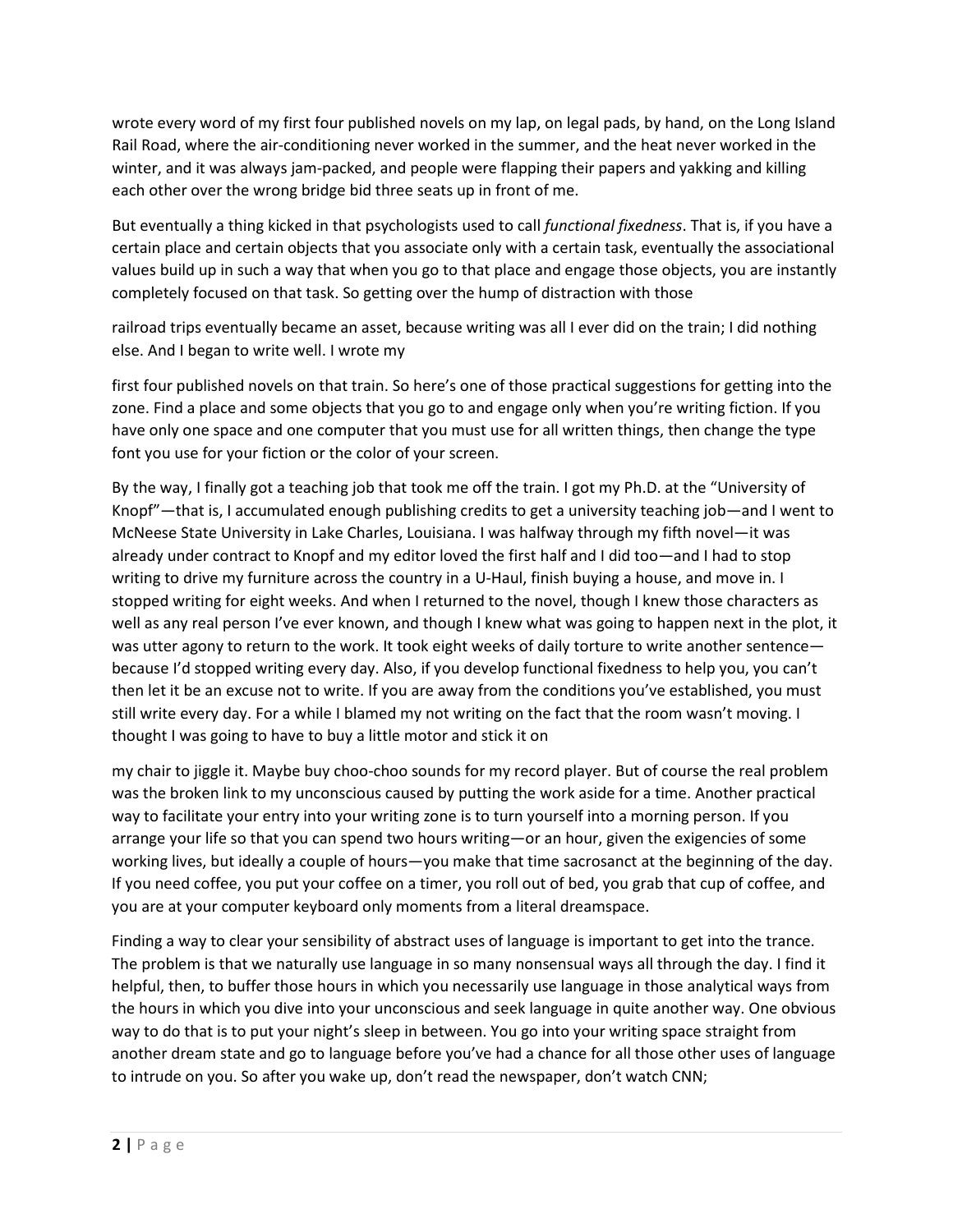wrote every word of my first four published novels on my lap, on legal pads, by hand, on the Long Island Rail Road, where the air-conditioning never worked in the summer, and the heat never worked in the winter, and it was always jam-packed, and people were flapping their papers and yakking and killing each other over the wrong bridge bid three seats up in front of me.

But eventually a thing kicked in that psychologists used to call *functional fixedness*. That is, if you have a certain place and certain objects that you associate only with a certain task, eventually the associational values build up in such a way that when you go to that place and engage those objects, you are instantly completely focused on that task. So getting over the hump of distraction with those

railroad trips eventually became an asset, because writing was all I ever did on the train; I did nothing else. And I began to write well. I wrote my

first four published novels on that train. So here's one of those practical suggestions for getting into the zone. Find a place and some objects that you go to and engage only when you're writing fiction. If you have only one space and one computer that you must use for all written things, then change the type font you use for your fiction or the color of your screen.

By the way, I finally got a teaching job that took me off the train. I got my Ph.D. at the "University of Knopf"—that is, I accumulated enough publishing credits to get a university teaching job—and I went to McNeese State University in Lake Charles, Louisiana. I was halfway through my fifth novel—it was already under contract to Knopf and my editor loved the first half and I did too—and I had to stop writing to drive my furniture across the country in a U-Haul, finish buying a house, and move in. I stopped writing for eight weeks. And when I returned to the novel, though I knew those characters as well as any real person I've ever known, and though I knew what was going to happen next in the plot, it was utter agony to return to the work. It took eight weeks of daily torture to write another sentence because I'd stopped writing every day. Also, if you develop functional fixedness to help you, you can't then let it be an excuse not to write. If you are away from the conditions you've established, you must still write every day. For a while I blamed my not writing on the fact that the room wasn't moving. I thought I was going to have to buy a little motor and stick it on

my chair to jiggle it. Maybe buy choo-choo sounds for my record player. But of course the real problem was the broken link to my unconscious caused by putting the work aside for a time. Another practical way to facilitate your entry into your writing zone is to turn yourself into a morning person. If you arrange your life so that you can spend two hours writing—or an hour, given the exigencies of some working lives, but ideally a couple of hours—you make that time sacrosanct at the beginning of the day. If you need coffee, you put your coffee on a timer, you roll out of bed, you grab that cup of coffee, and you are at your computer keyboard only moments from a literal dreamspace.

Finding a way to clear your sensibility of abstract uses of language is important to get into the trance. The problem is that we naturally use language in so many nonsensual ways all through the day. I find it helpful, then, to buffer those hours in which you necessarily use language in those analytical ways from the hours in which you dive into your unconscious and seek language in quite another way. One obvious way to do that is to put your night's sleep in between. You go into your writing space straight from another dream state and go to language before you've had a chance for all those other uses of language to intrude on you. So after you wake up, don't read the newspaper, don't watch CNN;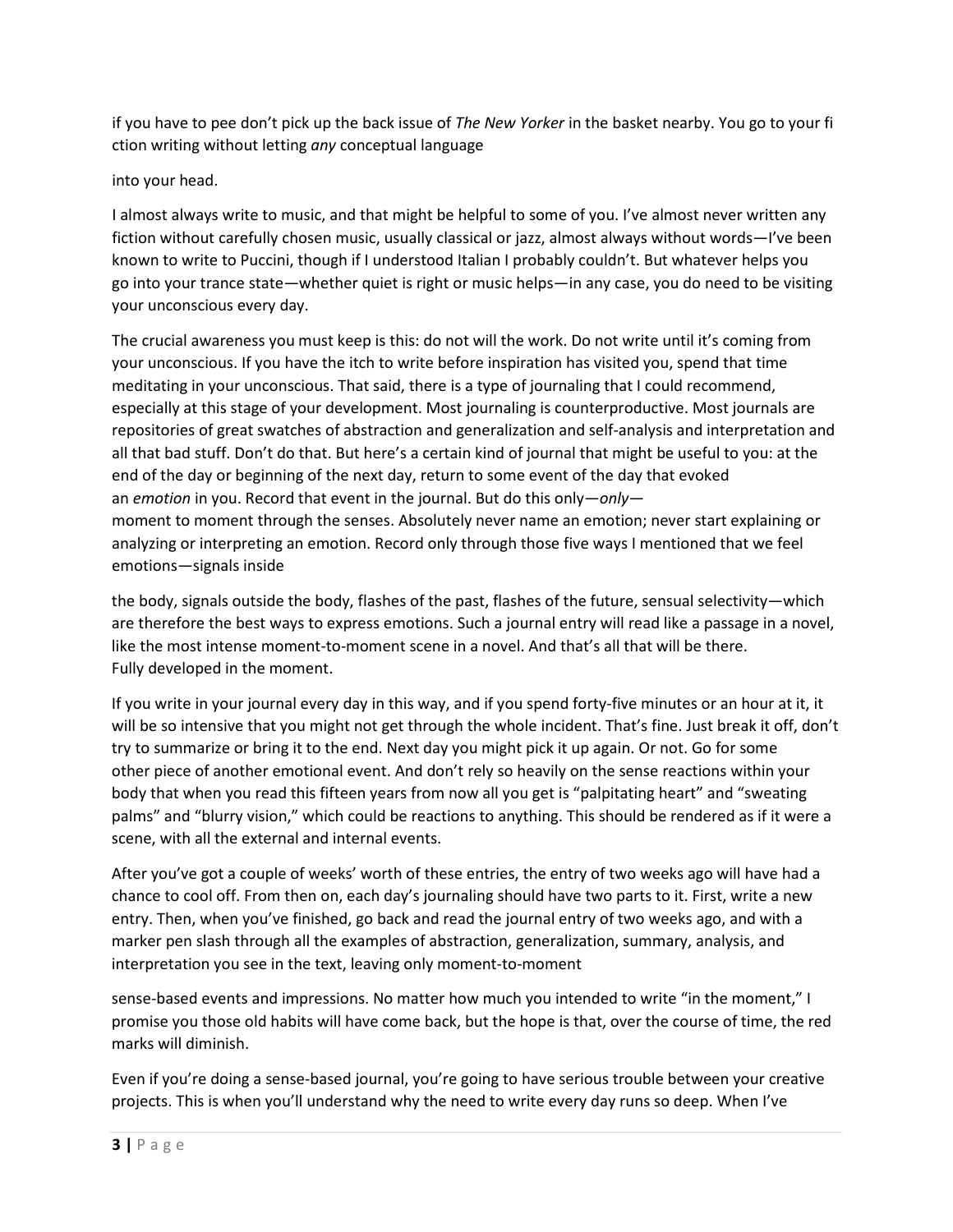if you have to pee don't pick up the back issue of *The New Yorker* in the basket nearby. You go to your fi ction writing without letting *any* conceptual language

into your head.

I almost always write to music, and that might be helpful to some of you. I've almost never written any fiction without carefully chosen music, usually classical or jazz, almost always without words—I've been known to write to Puccini, though if I understood Italian I probably couldn't. But whatever helps you go into your trance state—whether quiet is right or music helps—in any case, you do need to be visiting your unconscious every day.

The crucial awareness you must keep is this: do not will the work. Do not write until it's coming from your unconscious. If you have the itch to write before inspiration has visited you, spend that time meditating in your unconscious. That said, there is a type of journaling that I could recommend, especially at this stage of your development. Most journaling is counterproductive. Most journals are repositories of great swatches of abstraction and generalization and self-analysis and interpretation and all that bad stuff. Don't do that. But here's a certain kind of journal that might be useful to you: at the end of the day or beginning of the next day, return to some event of the day that evoked an *emotion* in you. Record that event in the journal. But do this only—*only* moment to moment through the senses. Absolutely never name an emotion; never start explaining or analyzing or interpreting an emotion. Record only through those five ways I mentioned that we feel emotions—signals inside

the body, signals outside the body, flashes of the past, flashes of the future, sensual selectivity—which are therefore the best ways to express emotions. Such a journal entry will read like a passage in a novel, like the most intense moment-to-moment scene in a novel. And that's all that will be there. Fully developed in the moment.

If you write in your journal every day in this way, and if you spend forty-five minutes or an hour at it, it will be so intensive that you might not get through the whole incident. That's fine. Just break it off, don't try to summarize or bring it to the end. Next day you might pick it up again. Or not. Go for some other piece of another emotional event. And don't rely so heavily on the sense reactions within your body that when you read this fifteen years from now all you get is "palpitating heart" and "sweating palms" and "blurry vision," which could be reactions to anything. This should be rendered as if it were a scene, with all the external and internal events.

After you've got a couple of weeks' worth of these entries, the entry of two weeks ago will have had a chance to cool off. From then on, each day's journaling should have two parts to it. First, write a new entry. Then, when you've finished, go back and read the journal entry of two weeks ago, and with a marker pen slash through all the examples of abstraction, generalization, summary, analysis, and interpretation you see in the text, leaving only moment-to-moment

sense-based events and impressions. No matter how much you intended to write "in the moment," I promise you those old habits will have come back, but the hope is that, over the course of time, the red marks will diminish.

Even if you're doing a sense-based journal, you're going to have serious trouble between your creative projects. This is when you'll understand why the need to write every day runs so deep. When I've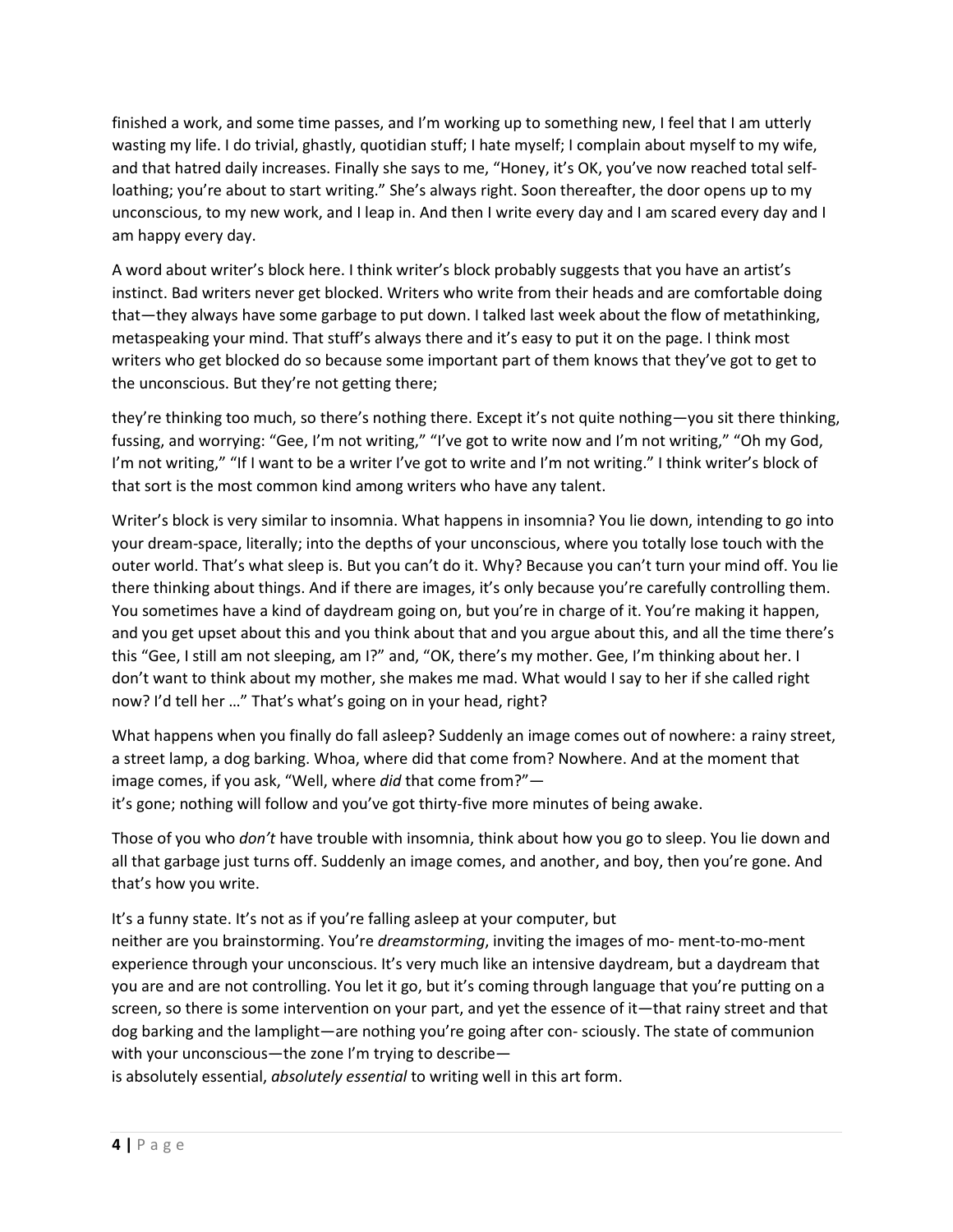finished a work, and some time passes, and I'm working up to something new, I feel that I am utterly wasting my life. I do trivial, ghastly, quotidian stuff; I hate myself; I complain about myself to my wife, and that hatred daily increases. Finally she says to me, "Honey, it's OK, you've now reached total selfloathing; you're about to start writing." She's always right. Soon thereafter, the door opens up to my unconscious, to my new work, and I leap in. And then I write every day and I am scared every day and I am happy every day.

A word about writer's block here. I think writer's block probably suggests that you have an artist's instinct. Bad writers never get blocked. Writers who write from their heads and are comfortable doing that—they always have some garbage to put down. I talked last week about the flow of metathinking, metaspeaking your mind. That stuff's always there and it's easy to put it on the page. I think most writers who get blocked do so because some important part of them knows that they've got to get to the unconscious. But they're not getting there;

they're thinking too much, so there's nothing there. Except it's not quite nothing—you sit there thinking, fussing, and worrying: "Gee, I'm not writing," "I've got to write now and I'm not writing," "Oh my God, I'm not writing," "If I want to be a writer I've got to write and I'm not writing." I think writer's block of that sort is the most common kind among writers who have any talent.

Writer's block is very similar to insomnia. What happens in insomnia? You lie down, intending to go into your dream-space, literally; into the depths of your unconscious, where you totally lose touch with the outer world. That's what sleep is. But you can't do it. Why? Because you can't turn your mind off. You lie there thinking about things. And if there are images, it's only because you're carefully controlling them. You sometimes have a kind of daydream going on, but you're in charge of it. You're making it happen, and you get upset about this and you think about that and you argue about this, and all the time there's this "Gee, I still am not sleeping, am I?" and, "OK, there's my mother. Gee, I'm thinking about her. I don't want to think about my mother, she makes me mad. What would I say to her if she called right now? I'd tell her …" That's what's going on in your head, right?

What happens when you finally do fall asleep? Suddenly an image comes out of nowhere: a rainy street, a street lamp, a dog barking. Whoa, where did that come from? Nowhere. And at the moment that image comes, if you ask, "Well, where *did* that come from?"—

it's gone; nothing will follow and you've got thirty-five more minutes of being awake.

Those of you who *don't* have trouble with insomnia, think about how you go to sleep. You lie down and all that garbage just turns off. Suddenly an image comes, and another, and boy, then you're gone. And that's how you write.

It's a funny state. It's not as if you're falling asleep at your computer, but neither are you brainstorming. You're *dreamstorming*, inviting the images of mo- ment-to-mo-ment experience through your unconscious. It's very much like an intensive daydream, but a daydream that you are and are not controlling. You let it go, but it's coming through language that you're putting on a screen, so there is some intervention on your part, and yet the essence of it—that rainy street and that dog barking and the lamplight—are nothing you're going after con- sciously. The state of communion with your unconscious—the zone I'm trying to describe—

is absolutely essential, *absolutely essential* to writing well in this art form.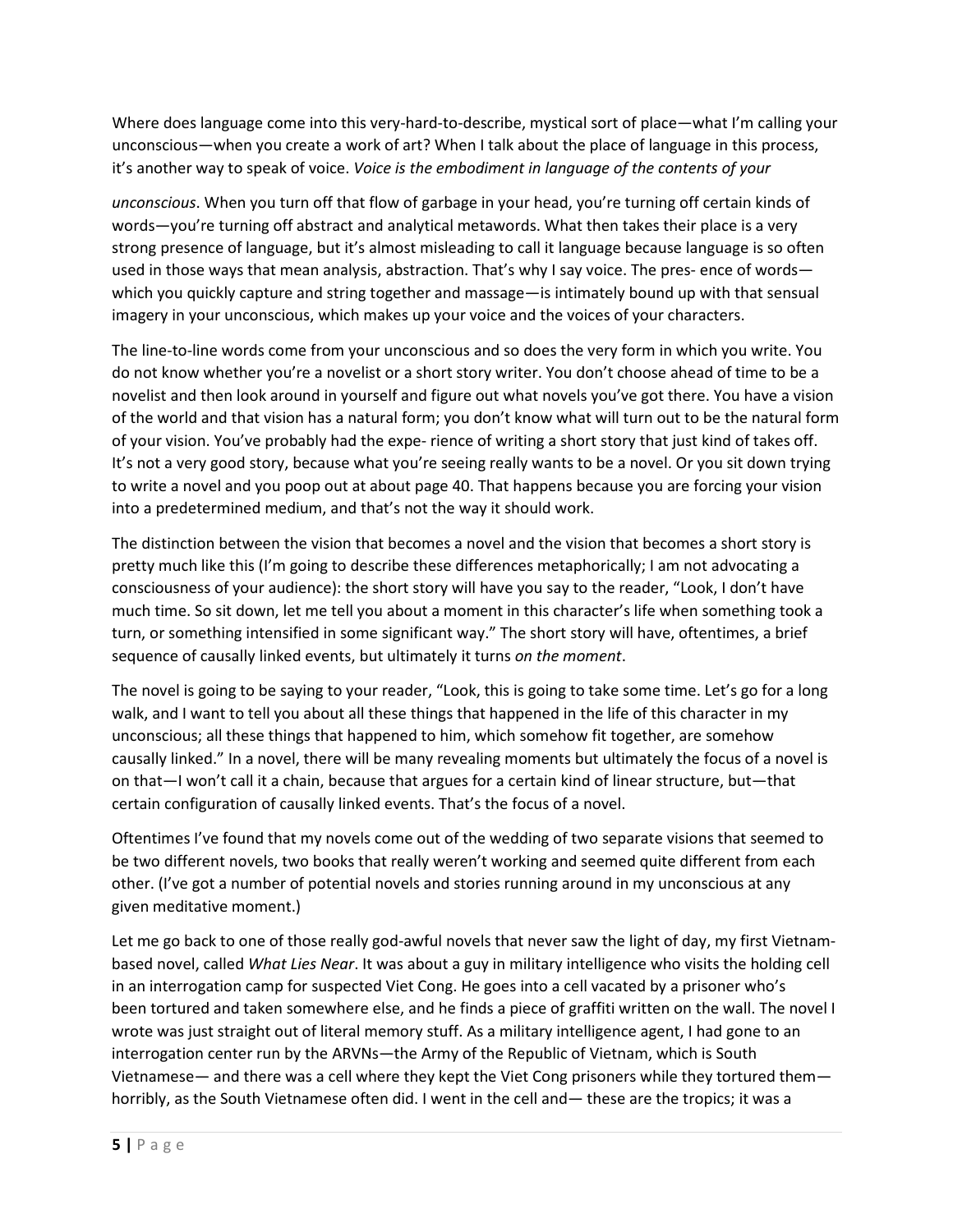Where does language come into this very-hard-to-describe, mystical sort of place—what I'm calling your unconscious—when you create a work of art? When I talk about the place of language in this process, it's another way to speak of voice. *Voice is the embodiment in language of the contents of your*

*unconscious*. When you turn off that flow of garbage in your head, you're turning off certain kinds of words—you're turning off abstract and analytical metawords. What then takes their place is a very strong presence of language, but it's almost misleading to call it language because language is so often used in those ways that mean analysis, abstraction. That's why I say voice. The pres- ence of words which you quickly capture and string together and massage—is intimately bound up with that sensual imagery in your unconscious, which makes up your voice and the voices of your characters.

The line-to-line words come from your unconscious and so does the very form in which you write. You do not know whether you're a novelist or a short story writer. You don't choose ahead of time to be a novelist and then look around in yourself and figure out what novels you've got there. You have a vision of the world and that vision has a natural form; you don't know what will turn out to be the natural form of your vision. You've probably had the expe- rience of writing a short story that just kind of takes off. It's not a very good story, because what you're seeing really wants to be a novel. Or you sit down trying to write a novel and you poop out at about page 40. That happens because you are forcing your vision into a predetermined medium, and that's not the way it should work.

The distinction between the vision that becomes a novel and the vision that becomes a short story is pretty much like this (I'm going to describe these differences metaphorically; I am not advocating a consciousness of your audience): the short story will have you say to the reader, "Look, I don't have much time. So sit down, let me tell you about a moment in this character's life when something took a turn, or something intensified in some significant way." The short story will have, oftentimes, a brief sequence of causally linked events, but ultimately it turns *on the moment*.

The novel is going to be saying to your reader, "Look, this is going to take some time. Let's go for a long walk, and I want to tell you about all these things that happened in the life of this character in my unconscious; all these things that happened to him, which somehow fit together, are somehow causally linked." In a novel, there will be many revealing moments but ultimately the focus of a novel is on that—I won't call it a chain, because that argues for a certain kind of linear structure, but—that certain configuration of causally linked events. That's the focus of a novel.

Oftentimes I've found that my novels come out of the wedding of two separate visions that seemed to be two different novels, two books that really weren't working and seemed quite different from each other. (I've got a number of potential novels and stories running around in my unconscious at any given meditative moment.)

Let me go back to one of those really god-awful novels that never saw the light of day, my first Vietnambased novel, called *What Lies Near*. It was about a guy in military intelligence who visits the holding cell in an interrogation camp for suspected Viet Cong. He goes into a cell vacated by a prisoner who's been tortured and taken somewhere else, and he finds a piece of graffiti written on the wall. The novel I wrote was just straight out of literal memory stuff. As a military intelligence agent, I had gone to an interrogation center run by the ARVNs—the Army of the Republic of Vietnam, which is South Vietnamese— and there was a cell where they kept the Viet Cong prisoners while they tortured them horribly, as the South Vietnamese often did. I went in the cell and— these are the tropics; it was a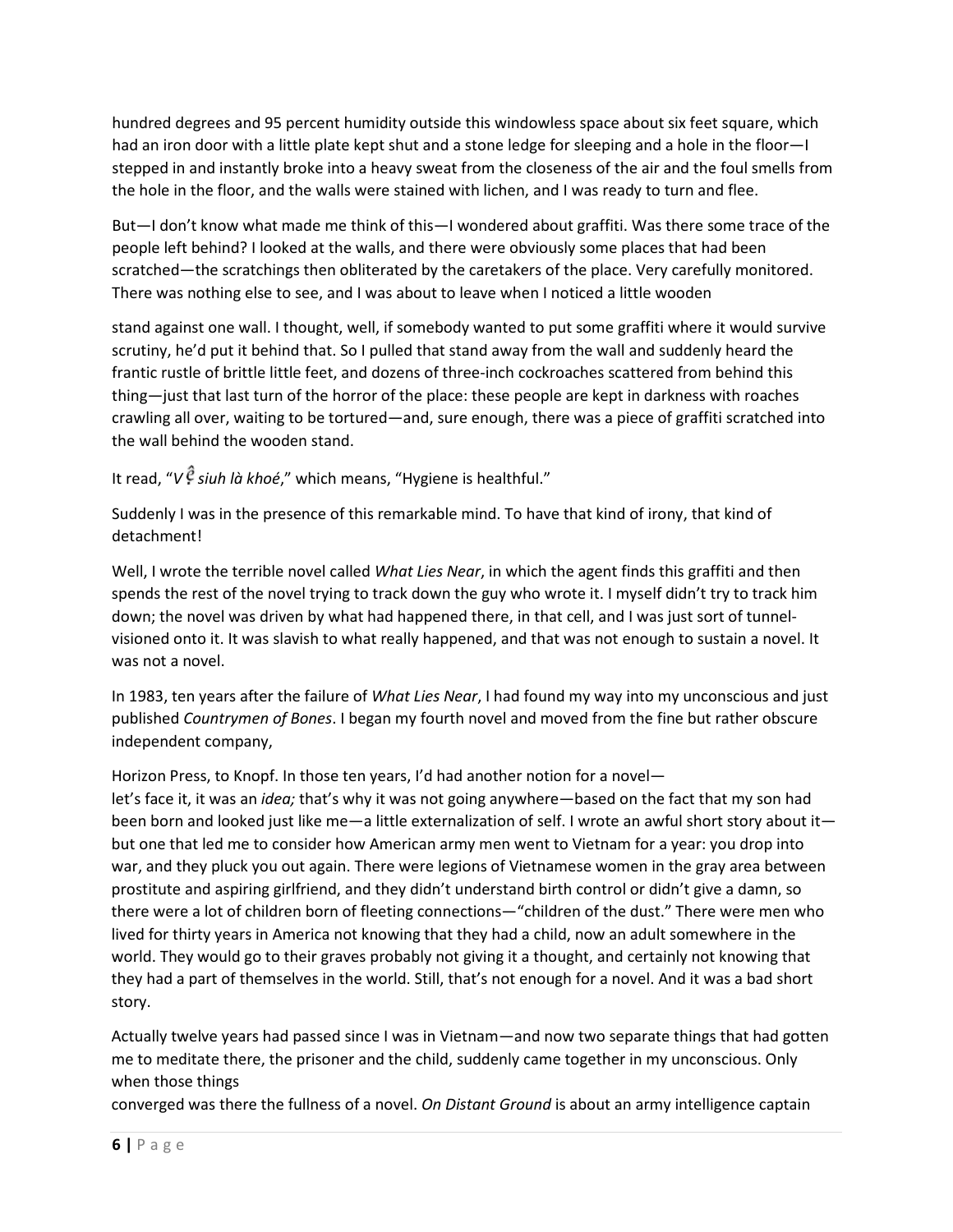hundred degrees and 95 percent humidity outside this windowless space about six feet square, which had an iron door with a little plate kept shut and a stone ledge for sleeping and a hole in the floor—I stepped in and instantly broke into a heavy sweat from the closeness of the air and the foul smells from the hole in the floor, and the walls were stained with lichen, and I was ready to turn and flee.

But—I don't know what made me think of this—I wondered about graffiti. Was there some trace of the people left behind? I looked at the walls, and there were obviously some places that had been scratched—the scratchings then obliterated by the caretakers of the place. Very carefully monitored. There was nothing else to see, and I was about to leave when I noticed a little wooden

stand against one wall. I thought, well, if somebody wanted to put some graffiti where it would survive scrutiny, he'd put it behind that. So I pulled that stand away from the wall and suddenly heard the frantic rustle of brittle little feet, and dozens of three-inch cockroaches scattered from behind this thing—just that last turn of the horror of the place: these people are kept in darkness with roaches crawling all over, waiting to be tortured—and, sure enough, there was a piece of graffiti scratched into the wall behind the wooden stand.

It read, "*V*<sup> $\hat{\ell}$ </sup> *siuh là khoé*," which means, "Hygiene is healthful."

Suddenly I was in the presence of this remarkable mind. To have that kind of irony, that kind of detachment!

Well, I wrote the terrible novel called *What Lies Near*, in which the agent finds this graffiti and then spends the rest of the novel trying to track down the guy who wrote it. I myself didn't try to track him down; the novel was driven by what had happened there, in that cell, and I was just sort of tunnelvisioned onto it. It was slavish to what really happened, and that was not enough to sustain a novel. It was not a novel.

In 1983, ten years after the failure of *What Lies Near*, I had found my way into my unconscious and just published *Countrymen of Bones*. I began my fourth novel and moved from the fine but rather obscure independent company,

Horizon Press, to Knopf. In those ten years, I'd had another notion for a novel—

let's face it, it was an *idea;* that's why it was not going anywhere—based on the fact that my son had been born and looked just like me—a little externalization of self. I wrote an awful short story about it but one that led me to consider how American army men went to Vietnam for a year: you drop into war, and they pluck you out again. There were legions of Vietnamese women in the gray area between prostitute and aspiring girlfriend, and they didn't understand birth control or didn't give a damn, so there were a lot of children born of fleeting connections—"children of the dust." There were men who lived for thirty years in America not knowing that they had a child, now an adult somewhere in the world. They would go to their graves probably not giving it a thought, and certainly not knowing that they had a part of themselves in the world. Still, that's not enough for a novel. And it was a bad short story.

Actually twelve years had passed since I was in Vietnam—and now two separate things that had gotten me to meditate there, the prisoner and the child, suddenly came together in my unconscious. Only when those things

converged was there the fullness of a novel. *On Distant Ground* is about an army intelligence captain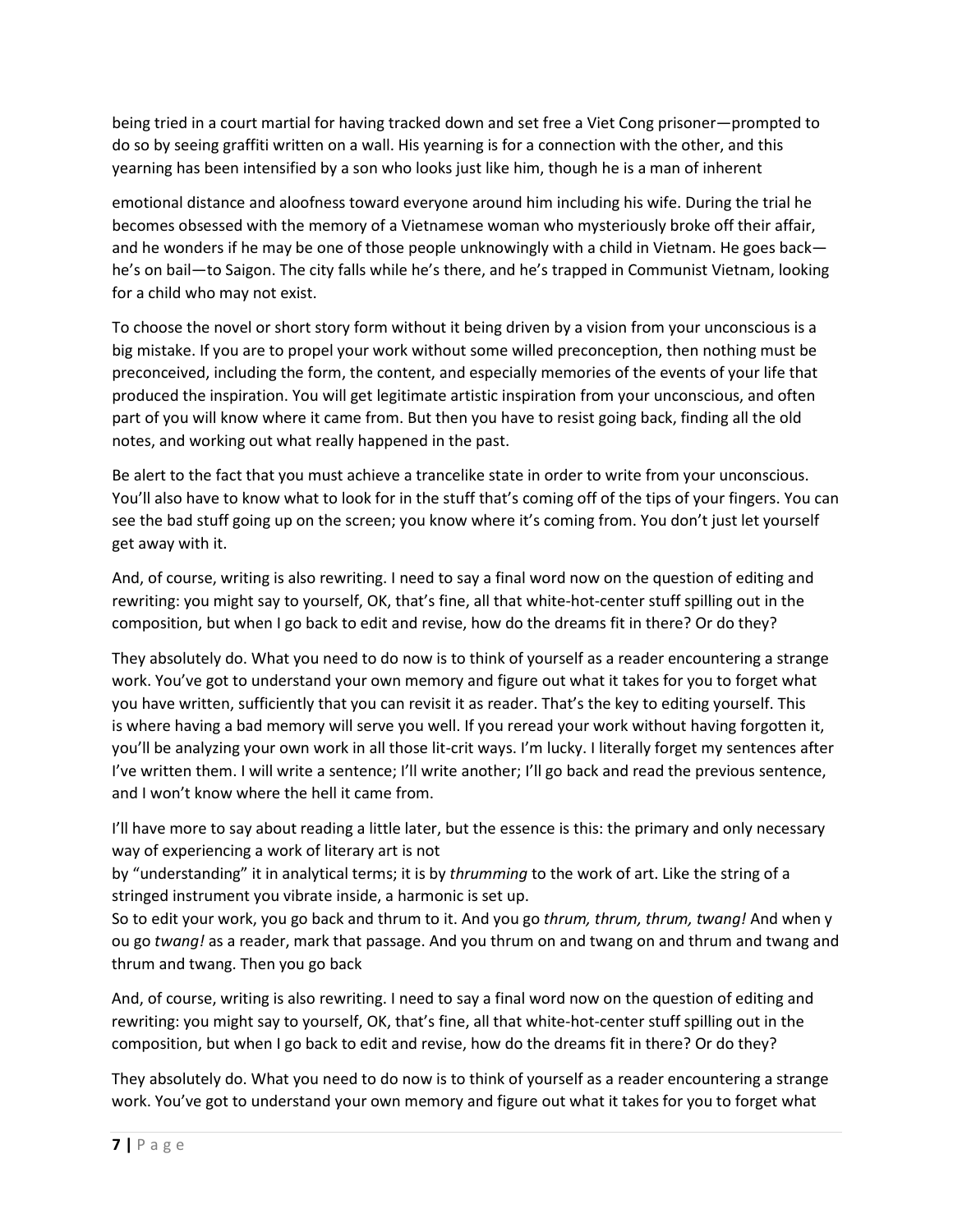being tried in a court martial for having tracked down and set free a Viet Cong prisoner—prompted to do so by seeing graffiti written on a wall. His yearning is for a connection with the other, and this yearning has been intensified by a son who looks just like him, though he is a man of inherent

emotional distance and aloofness toward everyone around him including his wife. During the trial he becomes obsessed with the memory of a Vietnamese woman who mysteriously broke off their affair, and he wonders if he may be one of those people unknowingly with a child in Vietnam. He goes back he's on bail—to Saigon. The city falls while he's there, and he's trapped in Communist Vietnam, looking for a child who may not exist.

To choose the novel or short story form without it being driven by a vision from your unconscious is a big mistake. If you are to propel your work without some willed preconception, then nothing must be preconceived, including the form, the content, and especially memories of the events of your life that produced the inspiration. You will get legitimate artistic inspiration from your unconscious, and often part of you will know where it came from. But then you have to resist going back, finding all the old notes, and working out what really happened in the past.

Be alert to the fact that you must achieve a trancelike state in order to write from your unconscious. You'll also have to know what to look for in the stuff that's coming off of the tips of your fingers. You can see the bad stuff going up on the screen; you know where it's coming from. You don't just let yourself get away with it.

And, of course, writing is also rewriting. I need to say a final word now on the question of editing and rewriting: you might say to yourself, OK, that's fine, all that white-hot-center stuff spilling out in the composition, but when I go back to edit and revise, how do the dreams fit in there? Or do they?

They absolutely do. What you need to do now is to think of yourself as a reader encountering a strange work. You've got to understand your own memory and figure out what it takes for you to forget what you have written, sufficiently that you can revisit it as reader. That's the key to editing yourself. This is where having a bad memory will serve you well. If you reread your work without having forgotten it, you'll be analyzing your own work in all those lit-crit ways. I'm lucky. I literally forget my sentences after I've written them. I will write a sentence; I'll write another; I'll go back and read the previous sentence, and I won't know where the hell it came from.

I'll have more to say about reading a little later, but the essence is this: the primary and only necessary way of experiencing a work of literary art is not

by "understanding" it in analytical terms; it is by *thrumming* to the work of art. Like the string of a stringed instrument you vibrate inside, a harmonic is set up.

So to edit your work, you go back and thrum to it. And you go *thrum, thrum, thrum, twang!* And when y ou go *twang!* as a reader, mark that passage. And you thrum on and twang on and thrum and twang and thrum and twang. Then you go back

And, of course, writing is also rewriting. I need to say a final word now on the question of editing and rewriting: you might say to yourself, OK, that's fine, all that white-hot-center stuff spilling out in the composition, but when I go back to edit and revise, how do the dreams fit in there? Or do they?

They absolutely do. What you need to do now is to think of yourself as a reader encountering a strange work. You've got to understand your own memory and figure out what it takes for you to forget what